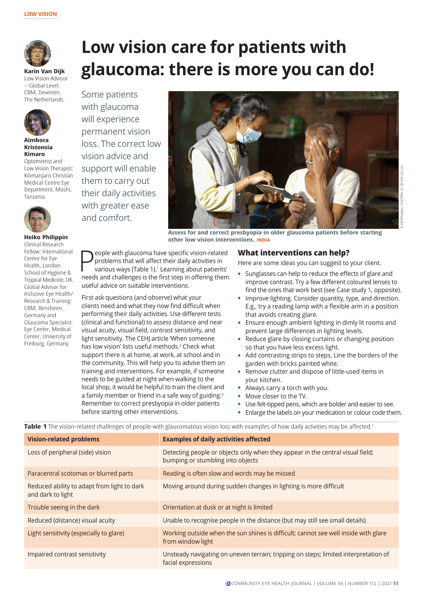

**Karin Van Dijk**  Low Vision Advisor – Global Level: CBM, Deventer The Netherlands.



**Aimbora Kristonsia Kimaro**  Optometrist and

Low Vision Therapist: Kilimanjaro Christian Medical Centre Eye Department, Moshi, Tanzania.



**Heiko Philippin** Clinical Research

Fellow: International Centre for Eye Health, London School of Hygiene & Tropical Medicine, UK. Global Advisor for Inclusive Eye Health/ Research & Training: CBM, Bensheim, Germany and Glaucoma Specialist: Eye Center, Medical Center, University of Freiburg, Germany.

**glaucoma: there is more you can do!**  Some patients with glaucoma will experience permanent vision loss. The correct low vision advice and support will enable them to carry out their daily activities with greater ease and comfort.



**Assess for and correct presbyopia in older glaucoma patients before starting other low vision interventions. INDIA**

**People with glaucoma have specific vision-related**<br>problems that will affect their daily activities in<br>various ways (Table 1).<sup>1</sup> Learning about patients'<br>speeds and challenges is the first stap in effecting them problems that will affect their daily activities in needs and challenges is the first step in offering them useful advice on suitable interventions.

First ask questions (and observe) what your clients need and what they now find difficult when performing their daily activities. Use different tests (clinical and functional) to assess distance and near visual acuity, visual field, contrast sensitivity, and light sensitivity. The CEHJ article 'When someone has low vision' lists useful methods.<sup>2</sup> Check what support there is at home, at work, at school and in the community. This will help you to advise them on training and interventions. For example, if someone needs to be guided at night when walking to the local shop, it would be helpful to train the client and a family member or friend in a safe way of guiding.<sup>3</sup> Remember to correct presbyopia in older patients before starting other interventions.

### **What interventions can help?**

Here are some ideas you can suggest to your client.

- **•** Sunglasses can help to reduce the effects of glare and improve contrast. Try a few different coloured lenses to find the ones that work best (see Case study 1, opposite).
- **•** Improve lighting. Consider quantity, type, and direction. E.g., try a reading lamp with a flexible arm in a position that avoids creating glare.
- **•** Ensure enough ambient lighting in dimly lit rooms and prevent large differences in lighting levels.
- **•** Reduce glare by closing curtains or changing position so that you have less excess light.
- **•** Add contrasting strips to steps. Line the borders of the garden with bricks painted white.
- **•** Remove clutter and dispose of little-used items in your kitchen.
- **•** Always carry a torch with you.
- **•** Move closer to the TV.
- **•** Use felt-tipped pens, which are bolder and easier to see.
- **•** Enlarge the labels on your medication or colour code them.

**Table 1** The vision-related challenges of people with glaucomatous vision loss with examples of how daily activities may be affected.<sup>1</sup>

**Low vision care for patients with** 

| <b>Vision-related problems</b>                                   | <b>Examples of daily activities affected</b>                                                                        |
|------------------------------------------------------------------|---------------------------------------------------------------------------------------------------------------------|
| Loss of peripheral (side) vision                                 | Detecting people or objects only when they appear in the central visual field;<br>bumping or stumbling into objects |
| Paracentral scotomas or blurred parts                            | Reading is often slow and words may be missed                                                                       |
| Reduced ability to adapt from light to dark<br>and dark to light | Moving around during sudden changes in lighting is more difficult                                                   |
| Trouble seeing in the dark                                       | Orientation at dusk or at night is limited                                                                          |
| Reduced (distance) visual acuity                                 | Unable to recognise people in the distance (but may still see small details)                                        |
| Light sensitivity (especially to glare)                          | Working outside when the sun shines is difficult; cannot see well inside with glare<br>from window light            |
| Impaired contrast sensitivity                                    | Unsteady navigating on uneven terrain; tripping on steps; limited interpretation of<br>facial expressions           |